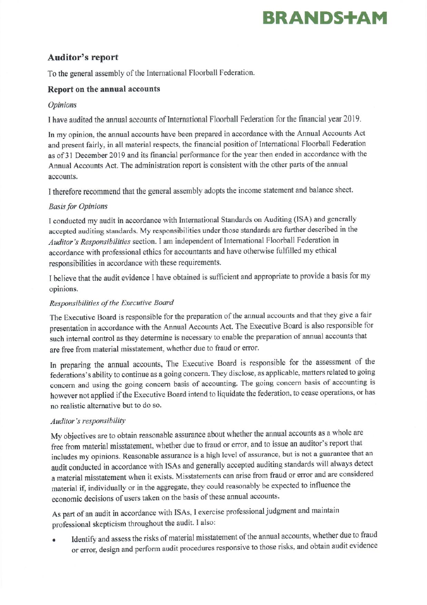# **BRANDS+AM**

# **Auditor's report**

To the general assembly of the International Floorball Federation.

## Report on the annual accounts

### **Opinions**

I have audited the annual accounts of International Floorball Federation for the financial year 2019.

In my opinion, the annual accounts have been prepared in accordance with the Annual Accounts Act and present fairly, in all material respects, the financial position of International Floorball Federation as of 31 December 2019 and its financial performance for the year then ended in accordance with the Annual Accounts Act. The administration report is consistent with the other parts of the annual accounts.

I therefore recommend that the general assembly adopts the income statement and balance sheet.

### **Basis for Opinions**

I conducted my audit in accordance with International Standards on Auditing (ISA) and generally accepted auditing standards. My responsibilities under those standards are further described in the Auditor's Responsibilities section. I am independent of International Floorball Federation in accordance with professional ethics for accountants and have otherwise fulfilled my ethical responsibilities in accordance with these requirements.

I believe that the audit evidence I have obtained is sufficient and appropriate to provide a basis for my opinions.

### Responsibilities of the Executive Board

The Executive Board is responsible for the preparation of the annual accounts and that they give a fair presentation in accordance with the Annual Accounts Act. The Executive Board is also responsible for such internal control as they determine is necessary to enable the preparation of annual accounts that are free from material misstatement, whether due to fraud or error.

In preparing the annual accounts, The Executive Board is responsible for the assessment of the federations's ability to continue as a going concern. They disclose, as applicable, matters related to going concern and using the going concern basis of accounting. The going concern basis of accounting is however not applied if the Executive Board intend to liquidate the federation, to cease operations, or has no realistic alternative but to do so.

## Auditor's responsibility

My objectives are to obtain reasonable assurance about whether the annual accounts as a whole are free from material misstatement, whether due to fraud or error, and to issue an auditor's report that includes my opinions. Reasonable assurance is a high level of assurance, but is not a guarantee that an audit conducted in accordance with ISAs and generally accepted auditing standards will always detect a material misstatement when it exists. Misstatements can arise from fraud or error and are considered material if, individually or in the aggregate, they could reasonably be expected to influence the economic decisions of users taken on the basis of these annual accounts.

As part of an audit in accordance with ISAs, I exercise professional judgment and maintain professional skepticism throughout the audit. I also:

Identify and assess the risks of material misstatement of the annual accounts, whether due to fraud or error, design and perform audit procedures responsive to those risks, and obtain audit evidence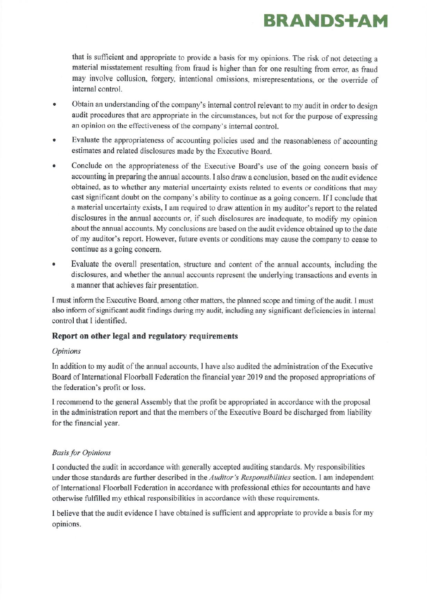# **BRANDS+AM**

that is sufficient and appropriate to provide a basis for my opinions. The risk of not detecting a material misstatement resulting from fraud is higher than for one resulting from error, as fraud mav involve collusion, forgery, intentional omissions, misrepresentations, or the override of internal control.

- Obtain an understanding of the company's internal control relevant to my audit in order to design  $\bullet$ audit procedures that are appropriate in the circumstances, but not for the purpose of expressing an opinion on the effectiveness of the company's internal control.
- Evaluate the appropriateness of accounting policies used and the reasonableness of accounting  $\bullet$ estimates and related disclosures made by the Executive Board.
- Conclude on the appropriateness of the Executive Board's use of the going concern basis of  $\bullet$ accounting in preparing the annual accounts. I also draw a conclusion, based on the audit evidence obtained, as to whether any material uncertainty exists related to events or conditions that may cast significant doubt on the company's ability to continue as a going concern. If I conclude that a material uncertainty exists, I am required to draw attention in my auditor's report to the related disclosures in the annual accounts or, if such disclosures are inadequate, to modify my opinion about the annual accounts. My conclusions are based on the audit evidence obtained up to the date of my auditor's report. However, future events or conditions may cause the company to cease to continue as a going concern.
- $\bullet$ Evaluate the overall presentation, structure and content of the annual accounts, including the disclosures, and whether the annual accounts represent the underlying transactions and events in a manner that achieves fair presentation.

I must inform the Executive Board, among other matters, the planned scope and timing of the audit. I must also inform of significant audit findings during my audit, including any significant deficiencies in internal control that I identified.

### Report on other legal and regulatory requirements

#### **Opinions**

In addition to my audit of the annual accounts, I have also audited the administration of the Executive Board of International Floorball Federation the financial year 2019 and the proposed appropriations of the federation's profit or loss.

I recommend to the general Assembly that the profit be appropriated in accordance with the proposal in the administration report and that the members of the Executive Board be discharged from liability for the financial year.

#### **Basis for Opinions**

I conducted the audit in accordance with generally accepted auditing standards. My responsibilities under those standards are further described in the Auditor's Responsibilities section. I am independent of International Floorball Federation in accordance with professional ethics for accountants and have otherwise fulfilled my ethical responsibilities in accordance with these requirements.

I believe that the audit evidence I have obtained is sufficient and appropriate to provide a basis for my opinions.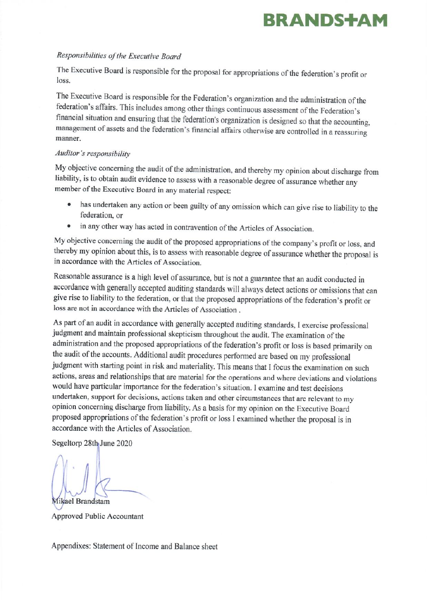# **RRANDS+AM**

# Responsibilities of the Executive Board

The Executive Board is responsible for the proposal for appropriations of the federation's profit or loss.

The Executive Board is responsible for the Federation's organization and the administration of the federation's affairs. This includes among other things continuous assessment of the Federation's financial situation and ensuring that the federation's organization is designed so that the accounting, management of assets and the federation's financial affairs otherwise are controlled in a reassuring manner.

#### Auditor's responsibility

My objective concerning the audit of the administration, and thereby my opinion about discharge from liability, is to obtain audit evidence to assess with a reasonable degree of assurance whether any member of the Executive Board in any material respect:

- has undertaken any action or been guilty of any omission which can give rise to liability to the federation, or
- in any other way has acted in contravention of the Articles of Association.

My objective concerning the audit of the proposed appropriations of the company's profit or loss, and thereby my opinion about this, is to assess with reasonable degree of assurance whether the proposal is in accordance with the Articles of Association.

Reasonable assurance is a high level of assurance, but is not a guarantee that an audit conducted in accordance with generally accepted auditing standards will always detect actions or omissions that can give rise to liability to the federation, or that the proposed appropriations of the federation's profit or loss are not in accordance with the Articles of Association.

As part of an audit in accordance with generally accepted auditing standards, I exercise professional judgment and maintain professional skepticism throughout the audit. The examination of the administration and the proposed appropriations of the federation's profit or loss is based primarily on the audit of the accounts. Additional audit procedures performed are based on my professional judgment with starting point in risk and materiality. This means that I focus the examination on such actions, areas and relationships that are material for the operations and where deviations and violations would have particular importance for the federation's situation. I examine and test decisions undertaken, support for decisions, actions taken and other circumstances that are relevant to my opinion concerning discharge from liability. As a basis for my opinion on the Executive Board proposed appropriations of the federation's profit or loss I examined whether the proposal is in accordance with the Articles of Association.

Segeltorp 28th June 2020

Mikael Brandstam

**Approved Public Accountant** 

Appendixes: Statement of Income and Balance sheet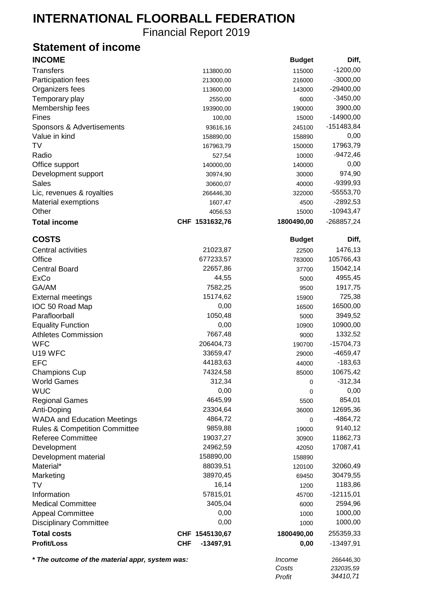# **INTERNATIONAL FLOORBALL FEDERATION**

Financial Report 2019

# **Statement of income**

| <b>INCOME</b>                                   |                           | <b>Budget</b>   | Diff.                 |
|-------------------------------------------------|---------------------------|-----------------|-----------------------|
| <b>Transfers</b>                                | 113800,00                 | 115000          | $-1200,00$            |
| Participation fees                              | 213000,00                 | 216000          | $-3000,00$            |
| Organizers fees                                 | 113600,00                 | 143000          | $-29400,00$           |
| Temporary play                                  | 2550,00                   | 6000            | $-3450,00$            |
| Membership fees                                 | 193900,00                 | 190000          | 3900,00               |
| Fines                                           | 100,00                    | 15000           | $-14900,00$           |
| Sponsors & Advertisements                       | 93616,16                  | 245100          | -151483,84            |
| Value in kind                                   | 158890,00                 | 158890          | 0,00                  |
| T٧                                              | 167963,79                 | 150000          | 17963,79              |
| Radio                                           | 527,54                    | 10000           | $-9472,46$            |
| Office support                                  | 140000,00                 | 140000          | 0,00                  |
| Development support                             | 30974,90                  | 30000           | 974,90                |
| Sales                                           | 30600,07                  | 40000           | $-9399,93$            |
| Lic, revenues & royalties                       | 266446,30                 | 322000          | -55553,70             |
| <b>Material exemptions</b>                      | 1607,47                   | 4500            | $-2892,53$            |
| Other                                           | 4056,53                   | 15000           | $-10943,47$           |
| <b>Total income</b>                             | CHF 1531632,76            | 1800490,00      | -268857,24            |
| <b>COSTS</b>                                    |                           | <b>Budget</b>   | Diff,                 |
| Central activities                              | 21023,87                  | 22500           | 1476,13               |
| Office                                          | 677233,57                 | 783000          | 105766,43             |
| <b>Central Board</b>                            | 22657,86                  | 37700           | 15042,14              |
| ExCo                                            | 44,55                     | 5000            | 4955,45               |
| GA/AM                                           | 7582,25                   | 9500            | 1917,75               |
| <b>External meetings</b>                        | 15174,62                  | 15900           | 725,38                |
| IOC 50 Road Map                                 | 0,00                      | 16500           | 16500,00              |
| Parafloorball                                   | 1050,48                   | 5000            | 3949,52               |
| <b>Equality Function</b>                        | 0,00                      | 10900           | 10900,00              |
| <b>Athletes Commission</b>                      | 7667,48                   | 9000            | 1332,52               |
| <b>WFC</b>                                      | 206404,73                 | 190700          | $-15704,73$           |
| U19 WFC                                         | 33659,47                  | 29000           | $-4659,47$            |
| <b>EFC</b>                                      | 44183,63                  | 44000           | $-183,63$             |
| <b>Champions Cup</b>                            | 74324,58                  | 85000           | 10675,42              |
| <b>World Games</b>                              | 312,34                    | 0               | $-312,34$             |
| <b>WUC</b>                                      | 0,00                      | 0               | 0,00                  |
| <b>Regional Games</b>                           | 4645,99                   | 5500            | 854,01                |
| Anti-Doping                                     | 23304,64                  | 36000           | 12695,36              |
| <b>WADA and Education Meetings</b>              | 4864,72                   | 0               | $-4864,72$            |
| <b>Rules &amp; Competition Committee</b>        | 9859,88                   | 19000           | 9140,12               |
| <b>Referee Committee</b>                        | 19037,27                  | 30900           | 11862,73              |
| Development                                     | 24962,59                  | 42050           | 17087,41              |
| Development material                            | 158890,00                 | 158890          |                       |
| Material*                                       | 88039,51                  | 120100          | 32060,49              |
| Marketing                                       | 38970,45                  | 69450           | 30479,55              |
| TV                                              | 16,14                     | 1200            | 1183,86               |
| Information                                     | 57815,01                  | 45700           | $-12115,01$           |
| <b>Medical Committee</b>                        | 3405,04                   | 6000            | 2594,96               |
| <b>Appeal Committee</b>                         | 0,00                      | 1000            | 1000,00               |
| <b>Disciplinary Committee</b>                   | 0,00                      | 1000            | 1000,00               |
| <b>Total costs</b>                              | CHF 1545130,67            | 1800490,00      | 255359,33             |
| <b>Profit/Loss</b>                              | $-13497,91$<br><b>CHF</b> | 0,00            | $-13497,91$           |
| * The outcome of the material appr, system was: |                           | Income          | 266446,30             |
|                                                 |                           | Costs<br>Profit | 232035,59<br>34410,71 |
|                                                 |                           |                 |                       |